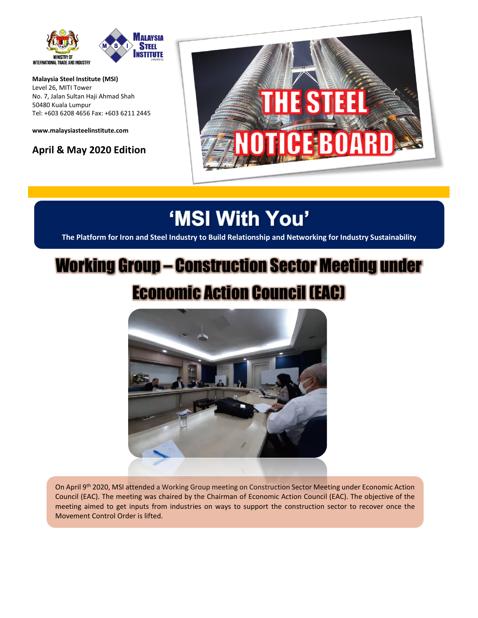

**Malaysia Steel Institute (MSI)** Level 26, MITI Tower No. 7, Jalan Sultan Haji Ahmad Shah 50480 Kuala Lumpur Tel: +603 6208 4656 Fax: +603 6211 2445

**[www.malaysiasteelinstitute.com](http://www.malaysiasteelinstitute.com/)**

**April & May 2020 Edition** 



## 'MSI With You'

**The Platform for Iron and Steel Industry to Build Relationship and Networking for Industry Sustainability**

## Working Group – Construction Sector Meeting under Economic Action Council (EAC)



On April 9<sup>th</sup> 2020, MSI attended a Working Group meeting on Construction Sector Meeting under Economic Action Council (EAC). The meeting was chaired by the Chairman of Economic Action Council (EAC). The objective of the meeting aimed to get inputs from industries on ways to support the construction sector to recover once the Movement Control Order is lifted.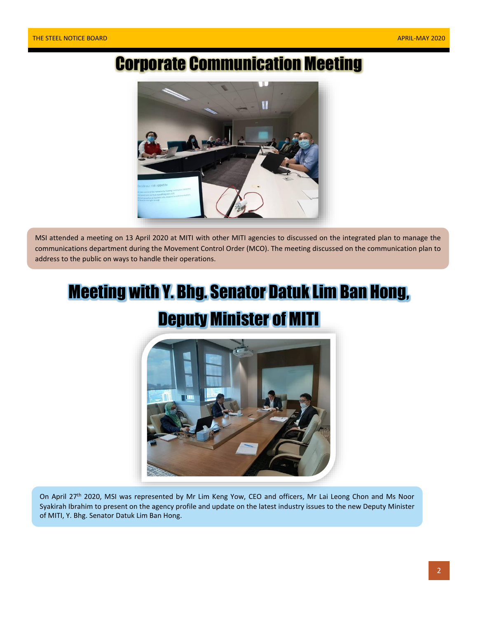### Corporate Communication Meeting



MSI attended a meeting on 13 April 2020 at MITI with other MITI agencies to discussed on the integrated plan to manage the communications department during the Movement Control Order (MCO). The meeting discussed on the communication plan to address to the public on ways to handle their operations.

# Meeting with Y. Bhg. Senator Datuk Lim Ban Hong,

### Deputy Minister of MITI



On April 27<sup>th</sup> 2020, MSI was represented by Mr Lim Keng Yow, CEO and officers, Mr Lai Leong Chon and Ms Noor Syakirah Ibrahim to present on the agency profile and update on the latest industry issues to the new Deputy Minister of MITI, Y. Bhg. Senator Datuk Lim Ban Hong.